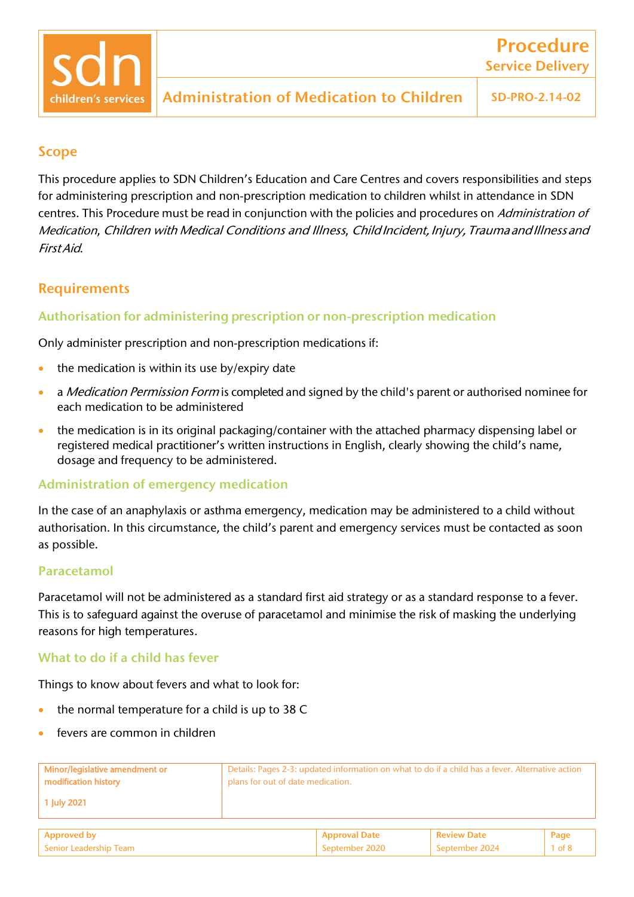#### Scope

This procedure applies to SDN Children's Education and Care Centres and covers responsibilities and steps for administering prescription and non-prescription medication to children whilst in attendance in SDN centres. This Procedure must be read in conjunction with the policies and procedures on Administration of Medication, Children with Medical Conditions and Illness, ChildIncident, Injury, Trauma and Illness and FirstAid.

### **Requirements**

#### Authorisation for administering prescription or non-prescription medication

Only administer prescription and non-prescription medications if:

- the medication is within its use by/expiry date
- a *Medication Permission Form* is completed and signed by the child's parent or authorised nominee for each medication to be administered
- the medication is in its original packaging/container with the attached pharmacy dispensing label or registered medical practitioner's written instructions in English, clearly showing the child's name, dosage and frequency to be administered.

#### Administration of emergency medication

In the case of an anaphylaxis or asthma emergency, medication may be administered to a child without authorisation. In this circumstance, the child's parent and emergency services must be contacted as soon as possible.

#### Paracetamol

Paracetamol will not be administered as a standard first aid strategy or as a standard response to a fever. This is to safeguard against the overuse of paracetamol and minimise the risk of masking the underlying reasons for high temperatures.

#### What to do if a child has fever

Things to know about fevers and what to look for:

- the normal temperature for a child is up to 38 C
- fevers are common in children

| Minor/legislative amendment or<br>modification history | Details: Pages 2-3: updated information on what to do if a child has a fever. Alternative action<br>plans for out of date medication. |                    |      |
|--------------------------------------------------------|---------------------------------------------------------------------------------------------------------------------------------------|--------------------|------|
| 1 July 2021                                            |                                                                                                                                       |                    |      |
| Approved by                                            | <b>Approval Date</b>                                                                                                                  | <b>Review Date</b> | Page |

September 2020 September 2020 September 2024 1 of 8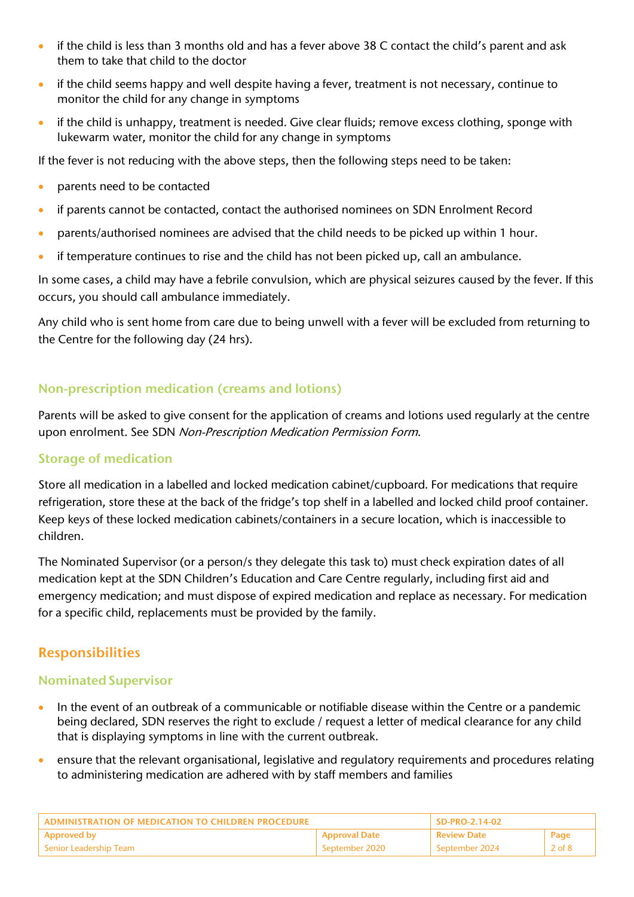- if the child is less than 3 months old and has a fever above 38 C contact the child's parent and ask them to take that child to the doctor
- if the child seems happy and well despite having a fever, treatment is not necessary, continue to monitor the child for any change in symptoms
- if the child is unhappy, treatment is needed. Give clear fluids; remove excess clothing, sponge with lukewarm water, monitor the child for any change in symptoms

If the fever is not reducing with the above steps, then the following steps need to be taken:

- parents need to be contacted
- if parents cannot be contacted, contact the authorised nominees on SDN Enrolment Record
- parents/authorised nominees are advised that the child needs to be picked up within 1 hour.
- if temperature continues to rise and the child has not been picked up, call an ambulance.

In some cases, a child may have a febrile convulsion, which are physical seizures caused by the fever. If this occurs, you should call ambulance immediately.

Any child who is sent home from care due to being unwell with a fever will be excluded from returning to the Centre for the following day (24 hrs).

## Non-prescription medication (creams and lotions)

Parents will be asked to give consent for the application of creams and lotions used regularly at the centre upon enrolment. See SDN Non-Prescription Medication Permission Form.

### Storage of medication

Store all medication in a labelled and locked medication cabinet/cupboard. For medications that require refrigeration, store these at the back of the fridge's top shelf in a labelled and locked child proof container. Keep keys of these locked medication cabinets/containers in a secure location, which is inaccessible to children.

The Nominated Supervisor (or a person/s they delegate this task to) must check expiration dates of all medication kept at the SDN Children's Education and Care Centre regularly, including first aid and emergency medication; and must dispose of expired medication and replace as necessary. For medication for a specific child, replacements must be provided by the family.

# Responsibilities

### **Nominated Supervisor**

- In the event of an outbreak of a communicable or notifiable disease within the Centre or a pandemic being declared, SDN reserves the right to exclude / request a letter of medical clearance for any child that is displaying symptoms in line with the current outbreak.
- ensure that the relevant organisational, legislative and regulatory requirements and procedures relating to administering medication are adhered with by staff members and families

| ADMINISTRATION OF MEDICATION TO CHILDREN PROCEDURE |                      | SD-PRO-2.14-02     |                        |
|----------------------------------------------------|----------------------|--------------------|------------------------|
| <b>Approved by</b>                                 | <b>Approval Date</b> | <b>Review Date</b> | Page                   |
| Senior Leadership Team                             | September 2020       | September 2024     | 2 of $\mathbf{\delta}$ |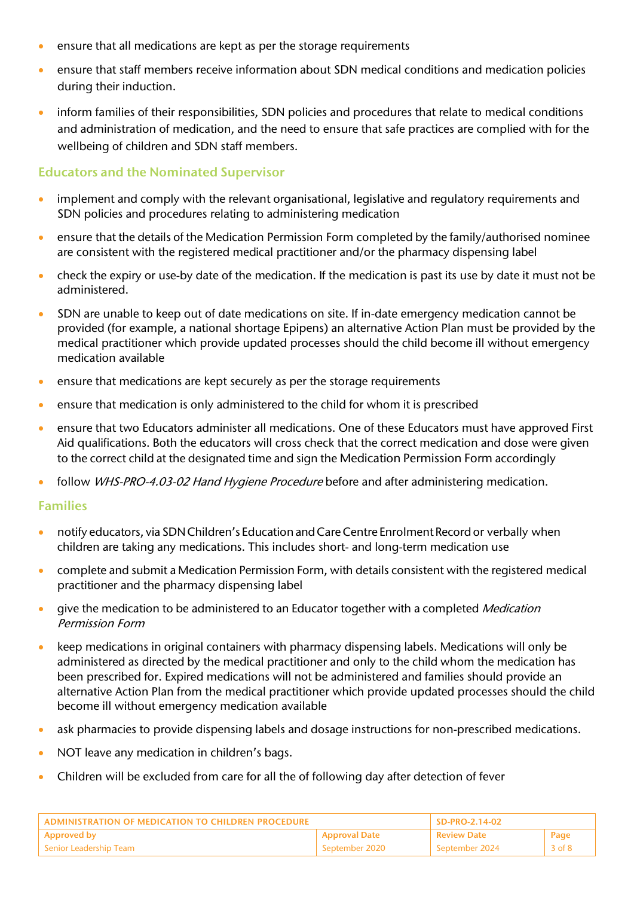- ensure that all medications are kept as per the storage requirements
- ensure that staff members receive information about SDN medical conditions and medication policies during their induction.
- inform families of their responsibilities, SDN policies and procedures that relate to medical conditions and administration of medication, and the need to ensure that safe practices are complied with for the wellbeing of children and SDN staff members.

#### Educators and the Nominated Supervisor

- implement and comply with the relevant organisational, legislative and regulatory requirements and SDN policies and procedures relating to administering medication
- ensure that the details of the Medication Permission Form completed by the family/authorised nominee are consistent with the registered medical practitioner and/or the pharmacy dispensing label
- check the expiry or use-by date of the medication. If the medication is past its use by date it must not be administered.
- SDN are unable to keep out of date medications on site. If in-date emergency medication cannot be provided (for example, a national shortage Epipens) an alternative Action Plan must be provided by the medical practitioner which provide updated processes should the child become ill without emergency medication available
- ensure that medications are kept securely as per the storage requirements
- ensure that medication is only administered to the child for whom it is prescribed
- ensure that two Educators administer all medications. One of these Educators must have approved First Aid qualifications. Both the educators will cross check that the correct medication and dose were given to the correct child at the designated time and sign the Medication Permission Form accordingly
- follow *WHS-PRO-4.03-02 Hand Hygiene Procedure* before and after administering medication.

#### Families

- notify educators, via SDNChildren's EducationandCareCentre Enrolment Recordor verbally when children are taking any medications. This includes short- and long-term medication use
- complete and submit a Medication Permission Form, with details consistent with the registered medical practitioner and the pharmacy dispensing label
- give the medication to be administered to an Educator together with a completed Medication Permission Form
- keep medications in original containers with pharmacy dispensing labels. Medications will only be administered as directed by the medical practitioner and only to the child whom the medication has been prescribed for. Expired medications will not be administered and families should provide an alternative Action Plan from the medical practitioner which provide updated processes should the child become ill without emergency medication available
- ask pharmacies to provide dispensing labels and dosage instructions for non-prescribed medications.
- NOT leave any medication in children's bags.
- Children will be excluded from care for all the of following day after detection of fever

| <b>ADMINISTRATION OF MEDICATION TO CHILDREN PROCEDURE</b> |                      | SD-PRO-2.14-02     |            |
|-----------------------------------------------------------|----------------------|--------------------|------------|
| <b>Approved by</b>                                        | <b>Approval Date</b> | <b>Review Date</b> | Page       |
| l Senior Leadership Team                                  | - September 2020     | September 2024     | $3$ of $8$ |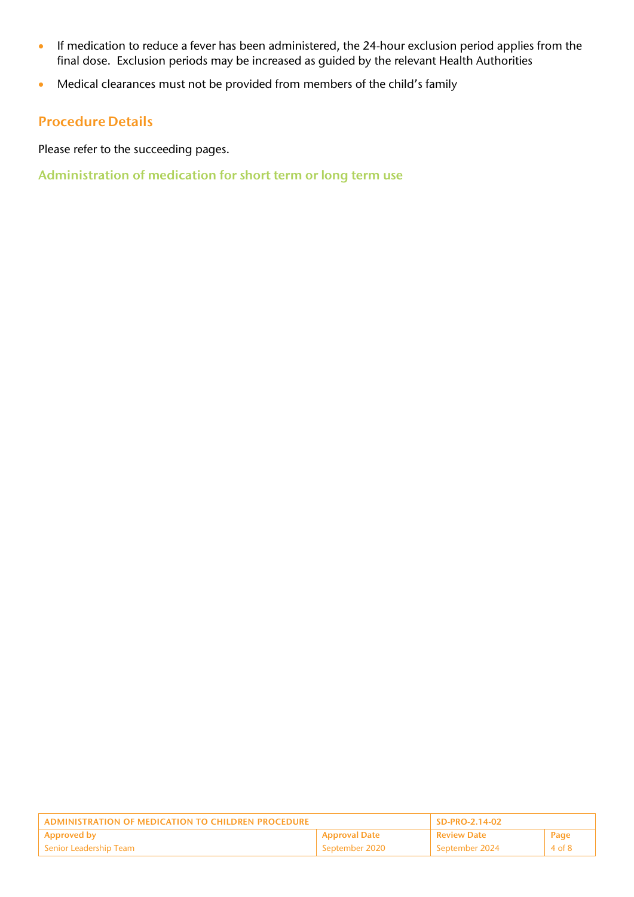- If medication to reduce a fever has been administered, the 24-hour exclusion period applies from the final dose. Exclusion periods may be increased as guided by the relevant Health Authorities
- Medical clearances must not be provided from members of the child's family

### Procedure Details

Please refer to the succeeding pages.

Administration of medication for short term or long term use

| ADMINISTRATION OF MEDICATION TO CHILDREN PROCEDURE |                      | SD-PRO-2.14-02 |        |
|----------------------------------------------------|----------------------|----------------|--------|
| <b>Approved by</b>                                 | <b>Approval Date</b> | l Review Date  | Page   |
| Senior Leadership Team                             | September 2020       | September 2024 | 4 of 8 |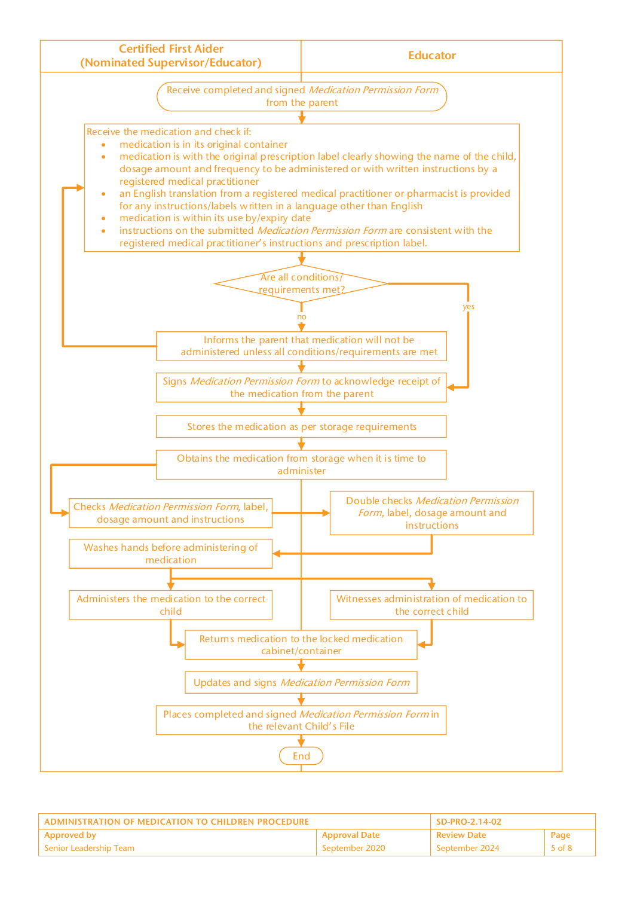

| ADMINISTRATION OF MEDICATION TO CHILDREN PROCEDURE |                      | SD-PRO-2.14-02 |        |
|----------------------------------------------------|----------------------|----------------|--------|
| Approved by                                        | <b>Approval Date</b> | l Review Date  | Page   |
| l Senior Leadership Team-                          | September 2020       | September 2024 | 5 of 8 |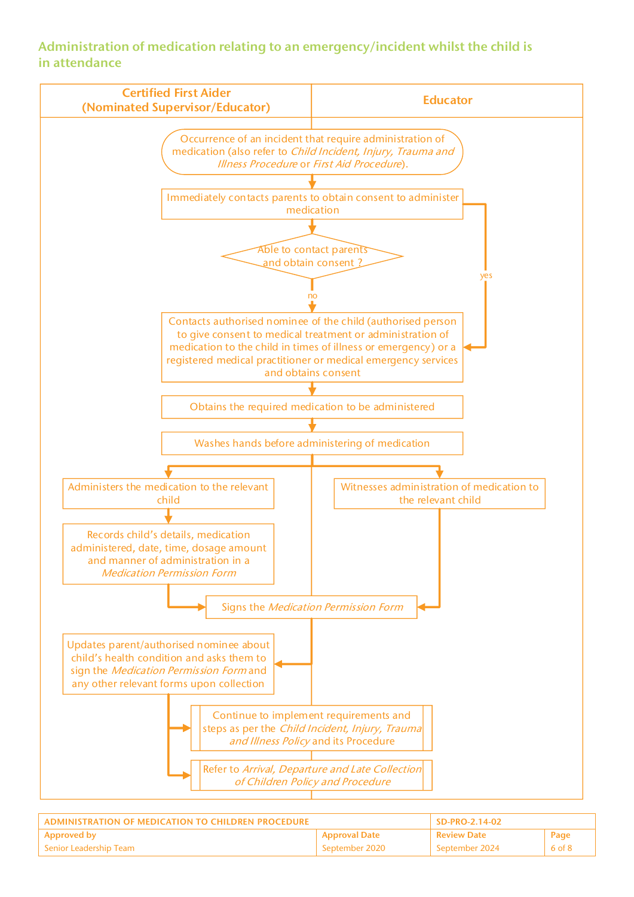### Administration of medication relating to an emergency/incident whilst the child is in attendance



| ADMINISTRATION OF MEDICATION TO CHILDREN PROCEDURE |                      | SD-PRO-2.14-02     |        |
|----------------------------------------------------|----------------------|--------------------|--------|
| <b>Approved by</b>                                 | <b>Approval Date</b> | <b>Review Date</b> | Page   |
| Senior Leadership Team                             | September 2020       | -September 2024    | 6 of 8 |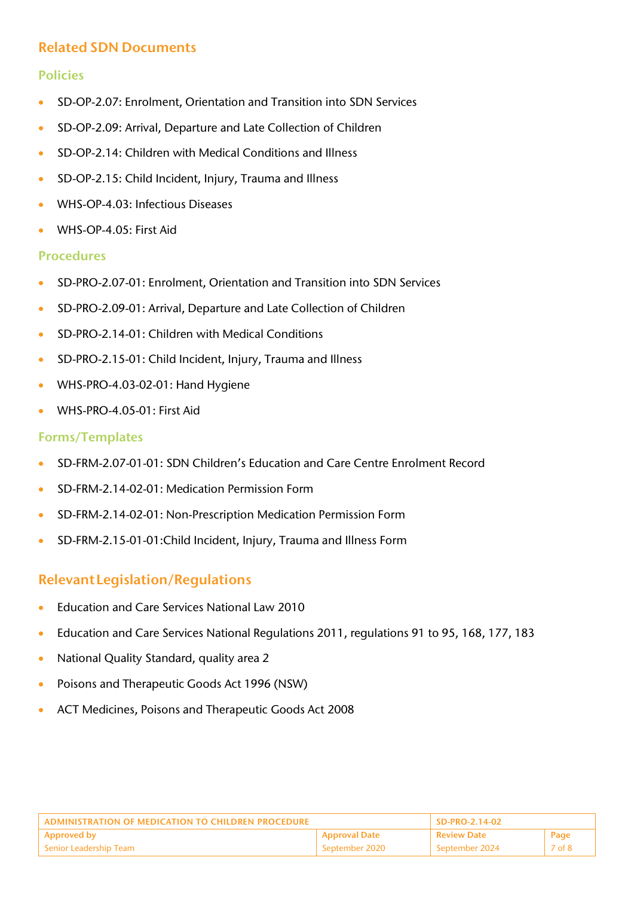## Related SDN Documents

### Policies

- SD-OP-2.07: Enrolment, Orientation and Transition into SDN Services
- SD-OP-2.09: Arrival, Departure and Late Collection of Children
- SD-OP-2.14: Children with Medical Conditions and Illness
- SD-OP-2.15: Child Incident, Injury, Trauma and Illness
- WHS-OP-4.03: Infectious Diseases
- WHS-OP-4.05: First Aid

#### Procedures

- SD-PRO-2.07-01: Enrolment, Orientation and Transition into SDN Services
- SD-PRO-2.09-01: Arrival, Departure and Late Collection of Children
- SD-PRO-2.14-01: Children with Medical Conditions
- SD-PRO-2.15-01: Child Incident, Injury, Trauma and Illness
- WHS-PRO-4.03-02-01: Hand Hygiene
- WHS-PRO-4.05-01: First Aid

#### Forms/Templates

- SD-FRM-2.07-01-01: SDN Children's Education and Care Centre Enrolment Record
- SD-FRM-2.14-02-01: Medication Permission Form
- SD-FRM-2.14-02-01: Non-Prescription Medication Permission Form
- SD-FRM-2.15-01-01:Child Incident, Injury, Trauma and Illness Form

## RelevantLegislation/Regulations

- Education and Care Services National Law 2010
- Education and Care Services National Regulations 2011, regulations 91 to 95, 168, 177, 183
- National Quality Standard, quality area 2
- Poisons and Therapeutic Goods Act 1996 (NSW)
- ACT Medicines, Poisons and Therapeutic Goods Act 2008

| ADMINISTRATION OF MEDICATION TO CHILDREN PROCEDURE |                      | SD-PRO-2.14-02     |        |
|----------------------------------------------------|----------------------|--------------------|--------|
| Approved by                                        | <b>Approval Date</b> | <b>Review Date</b> | Page   |
| l Senior Leadership Team                           | September 2020       | September 2024     | 7 of 8 |